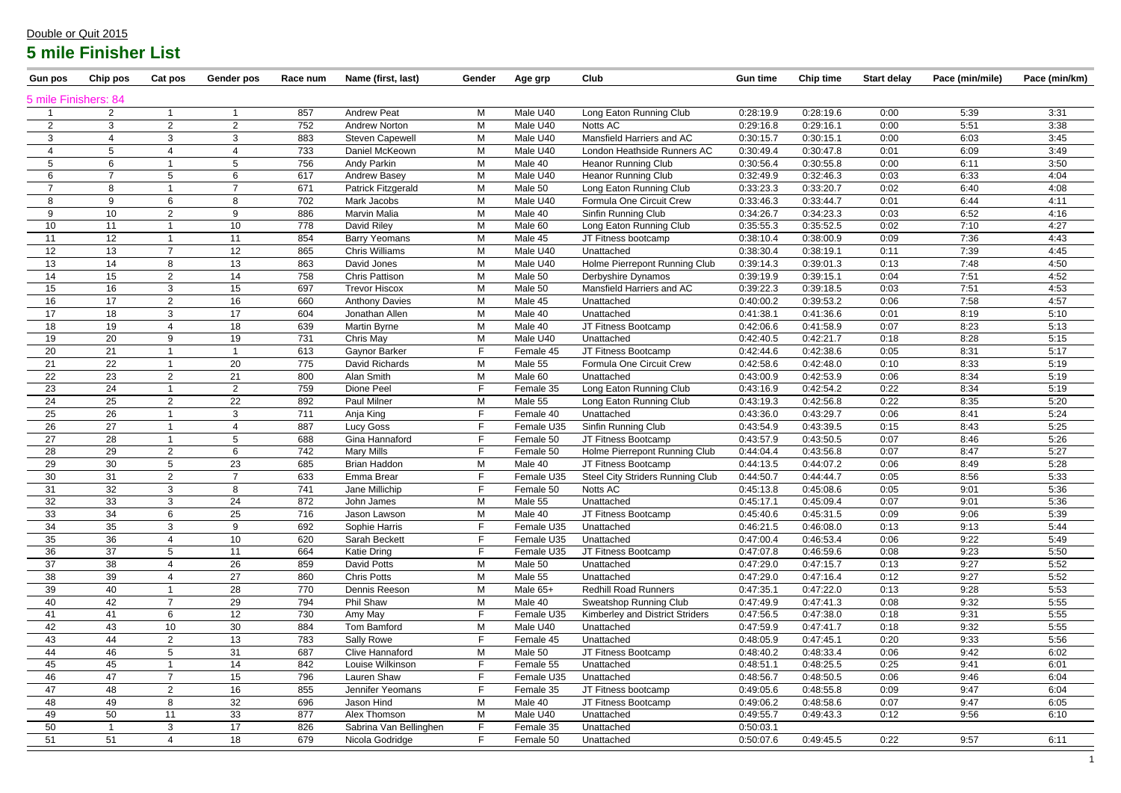| <b>Gun pos</b>       | Chip pos       | Cat pos                  | Gender pos     | Race num   | Name (first, last)            | Gender | Age grp                  | Club                             | <b>Gun time</b>        | <b>Chip time</b>       | <b>Start delay</b> | Pace (min/mile) | Pace (min/km) |
|----------------------|----------------|--------------------------|----------------|------------|-------------------------------|--------|--------------------------|----------------------------------|------------------------|------------------------|--------------------|-----------------|---------------|
| 5 mile Finishers: 84 |                |                          |                |            |                               |        |                          |                                  |                        |                        |                    |                 |               |
|                      | $\mathbf{2}$   |                          |                | 857        | <b>Andrew Peat</b>            | М      | Male U40                 | Long Eaton Running Club          | 0:28:19.9              | 0:28:19.6              | 0:00               | 5:39            | 3:31          |
| $\overline{2}$       | 3              | 2                        | $\overline{2}$ | 752        | <b>Andrew Norton</b>          | M      | Male U40                 | Notts AC                         | 0:29:16.8              | 0:29:16.1              | 0:00               | 5:51            | 3:38          |
| 3                    |                | 3                        | 3              | 883        | <b>Steven Capewell</b>        | M      | Male U40                 | Mansfield Harriers and AC        | 0:30:15.7              | 0:30:15.1              | 0:00               | 6:03            | 3:45          |
| $\overline{4}$       | 5              | $\overline{4}$           | -4             | 733        | Daniel McKeown                | M      | Male U40                 | London Heathside Runners AC      | 0:30:49.4              | 0:30:47.8              | 0:01               | 6:09            | 3:49          |
| 5                    | 6              |                          | 5              | 756        | Andy Parkin                   | M      | Male 40                  | <b>Heanor Running Club</b>       | 0:30:56.4              | 0:30:55.8              | 0:00               | 6:11            | 3:50          |
| 6                    | $\overline{7}$ | 5                        | 6              | 617        | <b>Andrew Basey</b>           | M      | Male U40                 | <b>Heanor Running Club</b>       | 0:32:49.9              | 0:32:46.3              | 0:03               | 6:33            | 4:04          |
| -7                   | 8              |                          | $\overline{ }$ | 671        | Patrick Fitzgerald            | M      | Male 50                  | Long Eaton Running Club          | 0:33:23.3              | 0:33:20.7              | 0:02               | 6:40            | 4:08          |
| 8                    | 9              | $6\phantom{1}$           | 8              | 702        | Mark Jacobs                   | M      | Male U40                 | Formula One Circuit Crew         | 0:33:46.3              | 0:33:44.7              | 0:01               | 6:44            | 4:11          |
| 9                    | 10             | 2                        | 9              | 886        | <b>Marvin Malia</b>           | M      | Male 40                  | Sinfin Running Club              | 0:34:26.7              | 0:34:23.3              | 0:03               | 6:52            | 4:16          |
| 10                   | 11             |                          | 10             | 778        | David Riley                   | M      | Male 60                  | Long Eaton Running Club          | 0:35:55.3              | 0:35:52.5              | 0:02               | 7:10            | 4:27          |
| 11                   | 12             |                          | 11             | 854        | <b>Barry Yeomans</b>          | M      | Male 45                  | JT Fitness bootcamp              | 0:38:10.4              | 0:38:00.9              | 0:09               | 7:36            | 4:43          |
| 12                   | 13             | $\overline{7}$           | 12             | 865        | <b>Chris Williams</b>         | M      | Male U40                 | Unattached                       | 0:38:30.4              | 0:38:19.1              | 0:11               | 7:39            | 4:45          |
| 13                   | 14             | 8                        | 13             | 863        | David Jones                   | M      | Male U40                 | Holme Pierrepont Running Club    | 0:39:14.3              | 0:39:01.3              | 0:13               | 7:48            | 4:50          |
| 14                   | 15             | 2                        | 14             | 758        | <b>Chris Pattison</b>         | M      | Male 50                  | Derbyshire Dynamos               | 0:39:19.9              | 0:39:15.1              | 0:04               | 7:51            | 4:52          |
| 15                   | 16             | 3                        | 15             | 697        | <b>Trevor Hiscox</b>          | M      | Male 50                  | Mansfield Harriers and AC        | 0:39:22.3              | 0:39:18.5              | 0:03               | 7:51            | 4:53          |
| 16                   | 17             | 2                        | 16             | 660        | <b>Anthony Davies</b>         | M      | Male 45                  | Unattached                       | 0:40:00.2              | 0:39:53.2              | 0:06               | 7:58            | 4:57          |
| 17                   | 18             | 3                        | 17             | 604        | Jonathan Allen                | M      | Male 40                  | Unattached                       | 0:41:38.1              | 0:41:36.6              | 0:01               | 8:19            | 5:10          |
| 18                   | 19             | $\overline{\mathcal{A}}$ | 18             | 639        | <b>Martin Byrne</b>           | M      | Male 40                  | JT Fitness Bootcamp              | 0:42:06.6              | 0:41:58.9              | 0:07               | 8:23            | 5:13          |
| 19                   | 20             | 9                        | 19             | 731        | Chris May                     | M      | Male U40                 | Unattached                       | 0:42:40.5              | 0:42:21.7              | 0:18               | 8:28            | 5:15          |
| 20                   | 21             |                          |                | 613        | Gaynor Barker                 |        | Female 45                | JT Fitness Bootcamp              | 0:42:44.6              | 0:42:38.6              | 0:05               | 8:31            | 5:17          |
| 21                   | 22             |                          | 20             | 775        | David Richards                | M      | Male 55                  | Formula One Circuit Crew         | 0.42:58.6              | 0:42:48.0              | 0:10               | 8:33            | 5:19          |
| 22                   | 23             | 2                        | 21             | 800        | Alan Smith                    | M      | Male 60                  | Unattached                       | 0:43:00.9              | 0:42:53.9              | 0:06               | 8:34            | 5:19          |
| 23                   | 24             |                          | $\overline{2}$ | 759        | Dione Peel                    | F.     | Female 35                | Long Eaton Running Club          | 0:43:16.9              | 0:42:54.2              | 0:22               | 8:34            | 5:19          |
| 24                   | 25             | 2                        | 22             | 892        | Paul Milner                   | M      | Male 55                  | Long Eaton Running Club          | 0:43:19.3              | 0:42:56.8              | 0:22               | 8:35            | 5:20          |
| 25                   | 26             |                          | 3              | 711        | Anja King                     |        | Female 40                | Unattached                       | 0:43:36.0              | 0:43:29.7              | 0:06               | 8:41            | 5:24          |
| 26                   | 27             |                          |                | 887        | Lucy Goss                     |        | Female U35               | Sinfin Running Club              | 0:43:54.9              | 0:43:39.5              | 0:15               | 8:43            | 5:25          |
| 27                   | 28             |                          | 5              | 688        | Gina Hannaford                |        | Female 50                | JT Fitness Bootcamp              | 0:43:57.9              | 0:43:50.5              | 0:07               | 8:46            | 5:26          |
| 28                   | 29             | 2                        | 6              | 742        | <b>Mary Mills</b>             |        | Female 50                | Holme Pierrepont Running Club    | 0:44:04.4              | 0:43:56.8              | 0:07               | 8:47            | 5:27          |
| 29                   | 30             | 5                        | 23<br>7        | 685        | <b>Brian Haddon</b>           | M      | Male 40                  | JT Fitness Bootcamp              | 0:44:13.5              | 0:44:07.2              | 0:06               | 8:49            | 5:28          |
| 30                   | 31             | 2                        |                | 633        | Emma Brear                    |        | Female U35               | Steel City Striders Running Club | 0:44:50.7              | 0:44:44.7              | 0:05               | 8:56            | 5:33          |
| 31                   | 32             | 3                        | 8              | 741        | Jane Millichip                |        | Female 50                | Notts AC                         | 0:45:13.8              | 0:45:08.6              | 0:05               | 9:01            | 5:36          |
| 32                   | 33             | 3<br>$6\phantom{1}$      | 24             | 872        | John James                    | M      | Male 55                  | Unattached                       | 0:45:17.1              | 0:45:09.4              | 0:07               | 9:01            | 5:36          |
| 33                   | 34             | 3                        | 25<br>9        | 716        | Jason Lawson<br>Sophie Harris | M      | Male 40<br>Female U35    | JT Fitness Bootcamp              | 0:45:40.6              | 0:45:31.5              | 0:09               | 9:06            | 5:39          |
| 34<br>35             | 35<br>36       | $\overline{4}$           |                | 692<br>620 | Sarah Beckett                 |        |                          | Unattached<br>Unattached         | 0:46:21.5<br>0:47:00.4 | 0:46:08.0<br>0:46:53.4 | 0:13<br>0:06       | 9:13<br>9:22    | 5:44          |
| 36                   | 37             | 5                        | 10<br>11       | 664        | <b>Katie Dring</b>            |        | Female U35<br>Female U35 | JT Fitness Bootcamp              | 0:47:07.8              | 0:46:59.6              | 0:08               | 9:23            | 5:49<br>5:50  |
| 37                   | 38             | $\overline{4}$           | 26             | 859        | David Potts                   | M      | Male 50                  | Unattached                       | 0.47:29.0              | 0:47:15.7              | 0:13               | 9:27            | 5:52          |
| 38                   | 39             | $\overline{4}$           | 27             | 860        | <b>Chris Potts</b>            | M      | Male 55                  | Unattached                       | 0:47:29.0              | 0:47:16.4              | 0:12               | 9:27            | 5:52          |
| 39                   | 40             |                          | 28             | 770        | Dennis Reeson                 | M      | Male 65+                 | <b>Redhill Road Runners</b>      | 0:47:35.1              | 0:47:22.0              | 0:13               | 9:28            | 5:53          |
| 40                   | 42             | $\overline{7}$           | 29             | 794        | Phil Shaw                     | M      | Male 40                  | Sweatshop Running Club           | 0:47:49.9              | 0:47:41.3              | 0:08               | 9:32            | 5:55          |
| 41                   | 41             | 6                        | 12             | 730        | Amy May                       |        | Female U35               | Kimberley and District Striders  | 0:47:56.5              | 0:47:38.0              | 0:18               | 9:31            | 5:55          |
| 42                   | 43             | 10                       | 30             | 884        | Tom Bamford                   | М      | Male U40                 | Unattached                       | 0:47:59.9              | 0:47:41.7              | 0:18               | 9:32            | 5:55          |
| 43                   | 44             | 2                        | 13             | 783        | <b>Sally Rowe</b>             |        | Female 45                | Unattached                       | 0:48:05.9              | 0:47:45.1              | 0:20               | 9:33            | 5:56          |
| 44                   | 46             | $5\phantom{.0}$          | 31             | 687        | Clive Hannaford               | M      | Male 50                  | JT Fitness Bootcamp              | 0:48:40.2              | 0:48:33.4              | 0:06               | 9:42            | 6:02          |
| 45                   | 45             |                          | 14             | 842        | Louise Wilkinson              |        | Female 55                | Unattached                       | 0:48:51.1              | 0:48:25.5              | 0:25               | 9:41            | 6:01          |
| 46                   | 47             | $\overline{7}$           | 15             | 796        | Lauren Shaw                   |        | Female U35               | Unattached                       | 0:48:56.7              | 0:48:50.5              | 0:06               | 9:46            | 6:04          |
| 47                   | 48             | 2                        | 16             | 855        | Jennifer Yeomans              |        | Female 35                | JT Fitness bootcamp              | 0:49:05.6              | 0:48:55.8              | 0:09               | 9:47            | 6:04          |
| 48                   | 49             | 8                        | 32             | 696        | Jason Hind                    | M      | Male 40                  | JT Fitness Bootcamp              | 0:49:06.2              | 0:48:58.6              | 0:07               | 9:47            | 6:05          |
| 49                   | 50             | 11                       | 33             | 877        | Alex Thomson                  | M      | Male U40                 | Unattached                       | 0:49:55.7              | 0:49:43.3              | 0:12               | 9:56            | 6:10          |
| 50                   |                | 3                        | 17             | 826        | Sabrina Van Bellinghen        |        | Female 35                | Unattached                       | 0:50:03.1              |                        |                    |                 |               |
|                      | 51             |                          | 18             | 679        | Nicola Godridge               | F.     | Female 50                | Unattached                       | 0:50:07.6              | 0:49:45.5              | 0:22               | 9:57            | 6:11          |
| 51                   |                |                          |                |            |                               |        |                          |                                  |                        |                        |                    |                 |               |

#### Double or Quit 2015

# **5 mile Finisher List**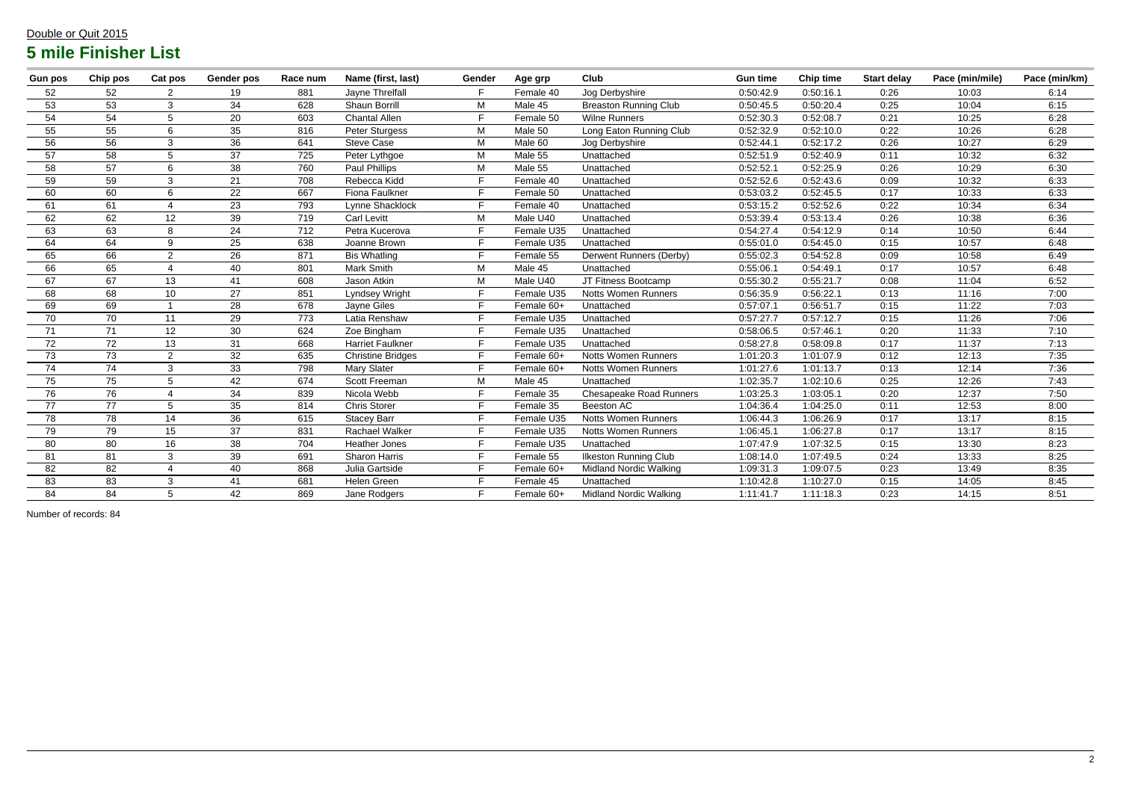## Double or Quit 2015 **5 mile Finisher List**

| <b>Gun pos</b>  | Chip pos        | Cat pos                  | <b>Gender pos</b> | Race num | Name (first, last)       | Gender | Age grp    | Club                           | <b>Gun time</b> | <b>Chip time</b> | <b>Start delay</b> | Pace (min/mile) | Pace (min/km) |
|-----------------|-----------------|--------------------------|-------------------|----------|--------------------------|--------|------------|--------------------------------|-----------------|------------------|--------------------|-----------------|---------------|
| 52              | 52              | 2                        | 19                | 881      | Jayne Threlfall          |        | Female 40  | Jog Derbyshire                 | 0:50:42.9       | 0:50:16.1        | 0:26               | 10:03           | 6:14          |
| 53              | 53              | 3                        | 34                | 628      | Shaun Borrill            | M      | Male 45    | <b>Breaston Running Club</b>   | 0:50:45.5       | 0:50:20.4        | 0:25               | 10:04           | 6:15          |
| 54              | 54              | 5                        | 20                | 603      | <b>Chantal Allen</b>     |        | Female 50  | <b>Wilne Runners</b>           | 0:52:30.3       | 0:52:08.7        | 0:21               | 10:25           | 6:28          |
| 55              | 55              | 6                        | 35                | 816      | Peter Sturgess           | M      | Male 50    | Long Eaton Running Club        |                 | 0:52:10.0        | 0:22               | 10:26           | 6:28          |
| 56              | 56              | 3                        | 36                | 641      | <b>Steve Case</b>        | M      | Male 60    | Jog Derbyshire                 | 0:52:44.1       | 0:52:17.2        | 0:26               | 10:27           | 6:29          |
| 57              | 58              | 5                        | 37                | 725      | Peter Lythgoe            | M      | Male 55    | Unattached                     | 0:52:51.9       | 0:52:40.9        | 0:11               | 10:32           | 6:32          |
| 58              | 57              | 6                        | 38                | 760      | Paul Phillips            | M      | Male 55    | Unattached                     | 0:52:52.1       | 0:52:25.9        | 0:26               | 10:29           | 6:30          |
| 59              | 59              | 3                        | 21                | 708      | Rebecca Kidd             |        | Female 40  | Unattached                     | 0:52:52.6       | 0:52:43.6        | 0:09               | 10:32           | 6:33          |
| 60              | 60              | 6                        | 22                | 667      | Fiona Faulkner           |        | Female 50  | Unattached                     | 0:53:03.2       | 0:52:45.5        | 0:17               | 10:33           | 6:33          |
| 61              | 61              | $\overline{4}$           | 23                | 793      | Lynne Shacklock          |        | Female 40  | Unattached                     | 0:53:15.2       | 0:52:52.6        | 0:22               | 10:34           | 6:34          |
| 62              | 62              | 12                       | 39                | 719      | <b>Carl Levitt</b>       | M      | Male U40   | Unattached                     | 0:53:39.4       | 0:53:13.4        | 0:26               | 10:38           | 6:36          |
| 63              | 63              | 8                        | 24                | 712      | Petra Kucerova           |        | Female U35 | Unattached                     | 0:54:27.4       | 0:54:12.9        | 0:14               | 10:50           | 6:44          |
| 64              | 64              | 9                        | 25                | 638      | Joanne Brown             |        | Female U35 | Unattached                     | 0:55:01.0       | 0:54:45.0        | 0:15               | 10:57           | 6:48          |
| 65              | 66              | $\overline{2}$           | 26                | 871      | <b>Bis Whatling</b>      |        | Female 55  | Derwent Runners (Derby)        | 0:55:02.3       | 0:54:52.8        | 0:09               | 10:58           | 6:49          |
| 66              | 65              | $\overline{4}$           | 40                | 801      | Mark Smith               | M      | Male 45    | Unattached                     | 0:55:06.1       | 0:54:49.1        | 0:17               | 10:57           | 6:48          |
| 67              | 67              | 13                       | 41                | 608      | Jason Atkin              | M      | Male U40   | JT Fitness Bootcamp            | 0:55:30.2       | 0:55:21.7        | 0:08               | 11:04           | 6:52          |
| 68              | 68              | 10                       | 27                | 851      | Lyndsey Wright           |        | Female U35 | <b>Notts Women Runners</b>     | 0:56:35.9       | 0:56:22.1        | 0:13               | 11:16           | 7:00          |
| 69              | 69              |                          | 28                | 678      | Jayne Giles              |        | Female 60+ | Unattached                     | 0:57:07.1       | 0:56:51.7        | 0:15               | 11:22           | 7:03          |
| 70              | 70              | 11                       | 29                | 773      | Latia Renshaw            |        | Female U35 | Unattached                     | 0:57:27.7       | 0:57:12.7        | 0:15               | 11:26           | 7:06          |
| 71              | 71              | 12                       | 30                | 624      | Zoe Bingham              |        | Female U35 | Unattached                     | 0:58:06.5       | 0:57:46.1        | 0:20               | 11:33           | 7:10          |
| 72              | 72              | 13                       | 31                | 668      | <b>Harriet Faulkner</b>  |        | Female U35 | Unattached                     | 0:58:27.8       | 0:58:09.8        | 0:17               | 11:37           | 7:13          |
| 73              | 73              | $\overline{2}$           | 32                | 635      | <b>Christine Bridges</b> |        | Female 60+ | <b>Notts Women Runners</b>     | 1:01:20.3       | 1:01:07.9        | 0:12               | 12:13           | 7:35          |
| 74              | 74              | 3                        | 33                | 798      | Mary Slater              |        | Female 60+ | <b>Notts Women Runners</b>     | 1:01:27.6       | 1:01:13.7        | 0:13               | 12:14           | 7:36          |
| 75              | 75              | 5                        | 42                | 674      | Scott Freeman            | M      | Male 45    | Unattached                     | 1:02:35.7       | 1:02:10.6        | 0:25               | 12:26           | 7:43          |
| 76              | 76              |                          | 34                | 839      | Nicola Webb              |        | Female 35  | <b>Chesapeake Road Runners</b> | 1:03:25.3       | 1:03:05.1        | 0:20               | 12:37           | 7:50          |
| $\overline{77}$ | $\overline{77}$ | 5                        | $\overline{35}$   | 814      | <b>Chris Storer</b>      |        | Female 35  | <b>Beeston AC</b>              | 1:04:36.4       | 1:04:25.0        | 0:11               | 12:53           | 8:00          |
| 78              | 78              | 14                       | 36                | 615      | <b>Stacey Barr</b>       |        | Female U35 | <b>Notts Women Runners</b>     | 1:06:44.3       | 1:06:26.9        | 0:17               | 13:17           | 8:15          |
| $\overline{79}$ | 79              | 15                       | 37                | 831      | <b>Rachael Walker</b>    |        | Female U35 | <b>Notts Women Runners</b>     | 1:06:45.1       | 1:06:27.8        | 0:17               | 13:17           | 8:15          |
| 80              | 80              | 16                       | 38                | 704      | <b>Heather Jones</b>     |        | Female U35 | Unattached                     | 1:07:47.9       | 1:07:32.5        | 0:15               | 13:30           | 8:23          |
| 81              | 81              | 3                        | 39                | 691      | <b>Sharon Harris</b>     |        | Female 55  | <b>Ilkeston Running Club</b>   | 1:08:14.0       | 1:07:49.5        | 0:24               | 13:33           | 8:25          |
| 82              | 82              | $\boldsymbol{\varDelta}$ | 40                | 868      | Julia Gartside           |        | Female 60+ | <b>Midland Nordic Walking</b>  | 1:09:31.3       | 1:09:07.5        | 0:23               | 13:49           | 8:35          |
| 83              | 83              | 3                        | 41                | 681      | Helen Green              |        | Female 45  | Unattached                     | 1:10:42.8       | 1:10:27.0        | 0:15               | 14:05           | 8:45          |
| 84              | 84              | $5\overline{)}$          | 42                | 869      | Jane Rodgers             |        | Female 60+ | <b>Midland Nordic Walking</b>  | 1:11:41.7       | 1:11:18.3        | 0:23               | 14:15           | 8:51          |

Number of records: 84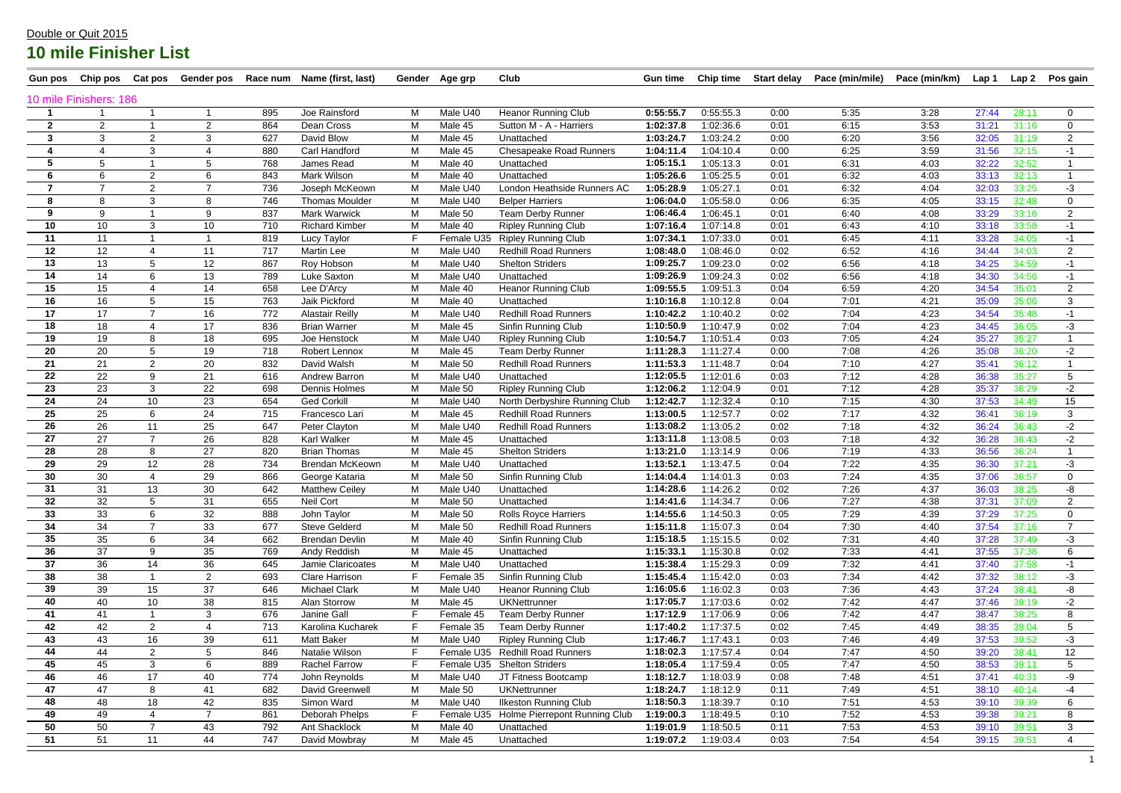| <b>Gun pos</b>         | Chip pos       | Cat pos         | Gender pos      |     | Race num Name (first, last) |    | Gender Age grp | Club                                     | <b>Gun time</b> | <b>Chip time</b> | <b>Start delay</b> | Pace (min/mile) | Pace (min/km) | Lap 1 | Lap 2 | Pos gain       |
|------------------------|----------------|-----------------|-----------------|-----|-----------------------------|----|----------------|------------------------------------------|-----------------|------------------|--------------------|-----------------|---------------|-------|-------|----------------|
| 10 mile Finishers: 186 |                |                 |                 |     |                             |    |                |                                          |                 |                  |                    |                 |               |       |       |                |
|                        |                |                 |                 | 895 | Joe Rainsford               | М  | Male U40       | <b>Heanor Running Club</b>               | 0:55:55.7       | 0:55:55.3        | 0:00               | 5:35            | 3:28          | 27:44 | 28:11 | $\mathbf{0}$   |
| $\mathbf{2}$           | $\overline{2}$ |                 | $\overline{2}$  | 864 | Dean Cross                  | M  | Male 45        | Sutton M - A - Harriers                  | 1:02:37.8       | 1:02:36.6        | 0:01               | 6:15            | 3:53          | 31:21 | 31:16 | $\mathbf 0$    |
| 3                      | 3              | $\overline{2}$  |                 | 627 | David Blow                  | M  | Male 45        | Unattached                               | 1:03:24.7       | 1:03:24.2        | 0:00               | 6:20            | 3:56          | 32:05 | 31:19 | $\overline{2}$ |
|                        | 4              | 3               |                 | 880 | Carl Handford               | М  | Male 45        | <b>Chesapeake Road Runners</b>           | 1:04:11.4       | 1:04:10.4        | 0:00               | 6:25            | 3:59          | 31:56 | 32:15 | -1             |
| 5                      |                |                 |                 | 768 | James Read                  | M  | Male 40        | Unattached                               | 1:05:15.1       | 1:05:13.3        | 0:01               | 6:31            | 4:03          | 32:22 | 32:52 |                |
| -6                     | 6              | $\overline{2}$  | 6               | 843 | Mark Wilson                 | M  | Male 40        | Unattached                               | 1:05:26.6       | 1:05:25.5        | 0:01               | 6:32            | 4:03          | 33:13 | 32:13 |                |
| 7                      | $\overline{7}$ | 2               |                 | 736 | Joseph McKeown              | M  | Male U40       | London Heathside Runners AC              | 1:05:28.9       | 1:05:27.1        | 0:01               | 6:32            | 4:04          | 32:03 | 33:25 | $-3$           |
|                        | 8              | 3               |                 | 746 | <b>Thomas Moulder</b>       | M  | Male U40       | <b>Belper Harriers</b>                   | 1:06:04.0       | 1:05:58.0        | 0:06               | 6:35            | 4:05          | 33:15 | 32:48 | $\mathbf 0$    |
| 9                      | 9              |                 | 9               | 837 | <b>Mark Warwick</b>         | M  | Male 50        | <b>Team Derby Runner</b>                 | 1:06:46.4       | 1:06:45.1        | 0:01               | 6:40            | 4:08          | 33:29 | 33:16 | $\overline{2}$ |
| 10                     | 10             | 3               | 10 <sup>°</sup> | 710 | <b>Richard Kimber</b>       | M  | Male 40        | <b>Ripley Running Club</b>               | 1:07:16.4       | 1:07:14.8        | 0:01               | 6:43            | 4:10          | 33:18 | 33:58 | $-1$           |
| 11                     | 11             |                 |                 | 819 | Lucy Taylor                 | F. | Female U35     | <b>Ripley Running Club</b>               | 1:07:34.1       | 1:07:33.0        | 0:01               | 6:45            | 4:11          | 33:28 | 34:05 | -1             |
| 12                     | 12             |                 | 11              | 717 | <b>Martin Lee</b>           | M  | Male U40       | <b>Redhill Road Runners</b>              | 1:08:48.0       | 1:08:46.0        | 0:02               | 6:52            | 4:16          | 34:44 | 34:03 | $\overline{2}$ |
| 13                     | 13             | 5               | 12              | 867 | Roy Hobson                  | M  | Male U40       | <b>Shelton Striders</b>                  | 1:09:25.7       | 1:09:23.0        | 0:02               | 6:56            | 4:18          | 34:25 | 34:59 | -1             |
| 14                     | 14             | 6               | 13              | 789 | <b>Luke Saxton</b>          | М  | Male U40       | Unattached                               | 1:09:26.9       | 1:09:24.3        | 0:02               | 6:56            | 4:18          | 34:30 | 34:56 | -1             |
| 15                     | 15             |                 | 14              | 658 | Lee D'Arcy                  | М  | Male 40        | <b>Heanor Running Club</b>               | 1:09:55.5       | 1:09:51.3        | 0:04               | 6:59            | 4:20          | 34:54 | 35:01 | $\overline{2}$ |
| 16                     | 16             | 5               | 15              | 763 | Jaik Pickford               | M  | Male 40        | Unattached                               | 1:10:16.8       | 1:10:12.8        | 0:04               | 7:01            | 4:21          | 35:09 | 35:06 | 3              |
| 17                     | 17             | $\overline{7}$  | 16              | 772 | <b>Alastair Reilly</b>      | M  | Male U40       | <b>Redhill Road Runners</b>              | 1:10:42.2       | 1:10:40.2        | 0:02               | 7:04            | 4:23          | 34:54 | 35:48 | -1             |
| 18                     | 18             |                 | 17              | 836 | <b>Brian Warner</b>         | M  | Male 45        | Sinfin Running Club                      | 1:10:50.9       | 1:10:47.9        | 0:02               | 7:04            | 4:23          | 34:45 | 36:05 | -3             |
| 19                     | 19             | 8               | 18              | 695 | Joe Henstock                | М  | Male U40       | <b>Ripley Running Club</b>               | 1:10:54.7       | 1:10:51.4        | 0:03               | 7:05            | 4:24          | 35:27 | 35:27 |                |
| 20                     | 20             | $5\overline{)}$ | 19              | 718 | Robert Lennox               | M  | Male 45        | <b>Team Derby Runner</b>                 | 1:11:28.3       | 1:11:27.4        | 0:00               | 7:08            | 4:26          | 35:08 | 36:20 | $-2$           |
| 21                     | 21             | $\overline{2}$  | 20              | 832 | David Walsh                 | M  | Male 50        | <b>Redhill Road Runners</b>              | 1:11:53.3       | 1:11:48.7        | 0:04               | 7:10            | 4:27          | 35:41 | 36:12 |                |
| 22                     | 22             | 9               | 21              | 616 | Andrew Barron               | M  | Male U40       | Unattached                               | 1:12:05.5       | 1:12:01.6        | 0:03               | 7:12            | 4:28          | 36:38 | 35:27 | 5              |
| 23                     | 23             | 3               | 22              | 698 | Dennis Holmes               | M  | Male 50        | <b>Ripley Running Club</b>               | 1:12:06.2       | 1:12:04.9        | 0:01               | 7:12            | 4:28          | 35:37 | 36:29 | $-2$           |
| 24                     | 24             | 10 <sup>°</sup> | 23              | 654 | <b>Ged Corkill</b>          | M  | Male U40       | North Derbyshire Running Club            | 1:12:42.7       | 1:12:32.4        | 0:10               | 7:15            | 4:30          | 37:53 | 34:49 | 15             |
| 25                     | 25             | 6               | 24              | 715 | Francesco Lari              | M  | Male 45        | <b>Redhill Road Runners</b>              | 1:13:00.5       | 1:12:57.7        | 0:02               | 7:17            | 4:32          | 36:41 | 36:19 | 3              |
| 26                     | 26             | 11              | 25              | 647 | Peter Clayton               | M  | Male U40       | <b>Redhill Road Runners</b>              | 1:13:08.2       | 1:13:05.2        | 0:02               | 7:18            | 4:32          | 36:24 | 36:43 | $-2$           |
| 27                     | 27             | $\overline{7}$  | 26              | 828 | <b>Karl Walker</b>          | M  | Male 45        | Unattached                               | 1:13:11.8       | 1:13:08.5        | 0:03               | 7:18            | 4:32          | 36:28 | 36:43 | $-2$           |
| 28                     | 28             | 8               | 27              | 820 | <b>Brian Thomas</b>         | М  | Male 45        | <b>Shelton Striders</b>                  | 1:13:21.0       | 1:13:14.9        | 0:06               | 7:19            | 4:33          | 36:56 | 36:24 |                |
| 29                     | 29             | 12              | 28              | 734 | Brendan McKeown             | М  | Male U40       | Unattached                               | 1:13:52.1       | 1:13:47.5        | 0:04               | 7:22            | 4:35          | 36:30 | 37:21 | -3             |
| 30                     | 30             |                 | 29              | 866 | George Kataria              | M  | Male 50        | Sinfin Running Club                      | 1:14:04.4       | 1:14:01.3        | 0:03               | 7:24            | 4:35          | 37:06 | 36:57 | $\mathbf 0$    |
| 31                     | 31             | 13              | 30              | 642 | <b>Matthew Ceiley</b>       | M  | Male U40       | Unattached                               | 1:14:28.6       | 1:14:26.2        | 0:02               | 7:26            | 4:37          | 36:03 | 38:25 | -8             |
| 32                     | 32             | 5               | 31              | 655 | <b>Neil Cort</b>            | M  | Male 50        | Unattached                               | 1:14:41.6       | 1:14:34.7        | 0:06               | 7:27            | 4:38          | 37:31 | 37:09 | $\overline{2}$ |
| 33                     | 33             | 6               | 32              | 888 | John Taylor                 | M  | Male 50        | <b>Rolls Royce Harriers</b>              | 1:14:55.6       | 1:14:50.3        | 0:05               | 7:29            | 4:39          | 37:29 | 37:25 | $\overline{0}$ |
| 34                     | 34             | $\overline{7}$  | 33              | 677 | Steve Gelderd               | M  | Male 50        | <b>Redhill Road Runners</b>              | 1:15:11.8       | 1:15:07.3        | 0:04               | 7:30            | 4:40          | 37:54 | 37:16 | $\overline{7}$ |
| 35                     | 35             | 6               | 34              | 662 | <b>Brendan Devlin</b>       | M  | Male 40        | Sinfin Running Club                      | 1:15:18.5       | 1:15:15.5        | 0:02               | 7:31            | 4:40          | 37:28 | 37:49 | $-3$           |
| 36                     | 37             | 9               | 35              | 769 | Andy Reddish                | M  | Male 45        | Unattached                               | 1:15:33.1       | 1:15:30.8        | 0:02               | 7:33            | 4:41          | 37:55 | 37:38 | 6              |
| 37                     | 36             | 14              | 36              | 645 | Jamie Claricoates           | М  | Male U40       | Unattached                               | 1:15:38.4       | 1:15:29.3        | 0:09               | 7:32            | 4:41          | 37:40 | 37:58 | $-1$           |
| 38                     | 38             |                 | $2^{\circ}$     | 693 | <b>Clare Harrison</b>       | F. | Female 35      | Sinfin Running Club                      | 1:15:45.4       | 1:15:42.0        | 0:03               | 7:34            | 4:42          | 37:32 | 38:12 | $-3$           |
| 39                     | 39             | 15              | 37              | 646 | <b>Michael Clark</b>        | M  | Male U40       | <b>Heanor Running Club</b>               | 1:16:05.6       | 1:16:02.3        | 0:03               | 7:36            | 4:43          | 37:24 | 38:41 | -8             |
| 40                     | 40             | 10 <sup>1</sup> | 38              | 815 | Alan Storrow                | M  | Male 45        | <b>UKNettrunner</b>                      | 1:17:05.7       | 1:17:03.6        | 0:02               | 7:42            | 4:47          | 37:46 | 39:19 | $-2$           |
| 41                     | 41             |                 | 3               | 676 | Janine Gall                 | F  | Female 45      | <b>Team Derby Runner</b>                 | 1:17:12.9       | 1:17:06.9        | 0:06               | 7:42            | 4:47          | 38:47 | 38:25 | 8              |
| 42                     | 42             | $\overline{2}$  | $\overline{a}$  | 713 | Karolina Kucharek           | F. | Female 35      | <b>Team Derby Runner</b>                 | 1:17:40.2       | 1:17:37.5        | 0:02               | 7:45            | 4:49          | 38:35 | 39:04 | 5 <sup>5</sup> |
| 43                     | 43             | 16              | 39              | 611 | Matt Baker                  | M  | Male U40       | <b>Ripley Running Club</b>               | 1:17:46.7       | 1:17:43.1        | 0:03               | 7:46            | 4:49          | 37:53 | 39:52 | $-3$           |
| 44                     | 44             | $\overline{2}$  |                 | 846 | Natalie Wilson              | F. |                | Female U35 Redhill Road Runners          | 1:18:02.3       | 1:17:57.4        | 0:04               | 7:47            | 4:50          | 39:20 | 38:41 | 12             |
| 45                     | 45             | 3               | 6               | 889 | <b>Rachel Farrow</b>        | F. |                | Female U35 Shelton Striders              | 1:18:05.4       | 1:17:59.4        | 0:05               | 7:47            | 4:50          | 38:53 | 39:11 | $\overline{5}$ |
| 46                     | 46             | 17              | 40              | 774 | John Reynolds               | M  | Male U40       | JT Fitness Bootcamp                      | 1:18:12.7       | 1:18:03.9        | 0:08               | 7:48            | 4:51          | 37:41 | 40:31 | -9             |
| 47                     | 47             | 8               | 41              | 682 | David Greenwell             | M  | Male 50        | <b>UKNettrunner</b>                      | 1:18:24.7       | 1:18:12.9        | 0:11               | 7:49            | 4:51          | 38:10 | 40:14 | -4             |
| 48                     | 48             | 18              | 42              | 835 | Simon Ward                  | M  | Male U40       | <b>Ilkeston Running Club</b>             | 1:18:50.3       | 1:18:39.7        | 0:10               | 7:51            | 4:53          | 39:10 | 39:39 | 6              |
| 49                     | 49             |                 | $\overline{7}$  | 861 | Deborah Phelps              |    |                | Female U35 Holme Pierrepont Running Club | 1:19:00.3       | 1:18:49.5        | 0:10               | 7:52            | 4:53          | 39:38 | 39:21 | 8              |
| 50                     | 50             | $\overline{7}$  | 43              | 792 | Ant Shacklock               | M  | Male 40        | Unattached                               | 1:19:01.9       | 1:18:50.5        | 0:11               | 7:53            | 4:53          | 39:10 | 39:51 | 3              |
| 51                     | 51             | 11              | 44              | 747 | David Mowbray               | M  | Male 45        | Unattached                               | 1:19:07.2       | 1:19:03.4        | 0:03               | 7:54            | 4:54          | 39:15 | 39:51 | 4              |
|                        |                |                 |                 |     |                             |    |                |                                          |                 |                  |                    |                 |               |       |       |                |

#### Double or Quit 2015

# **10 mile Finisher List**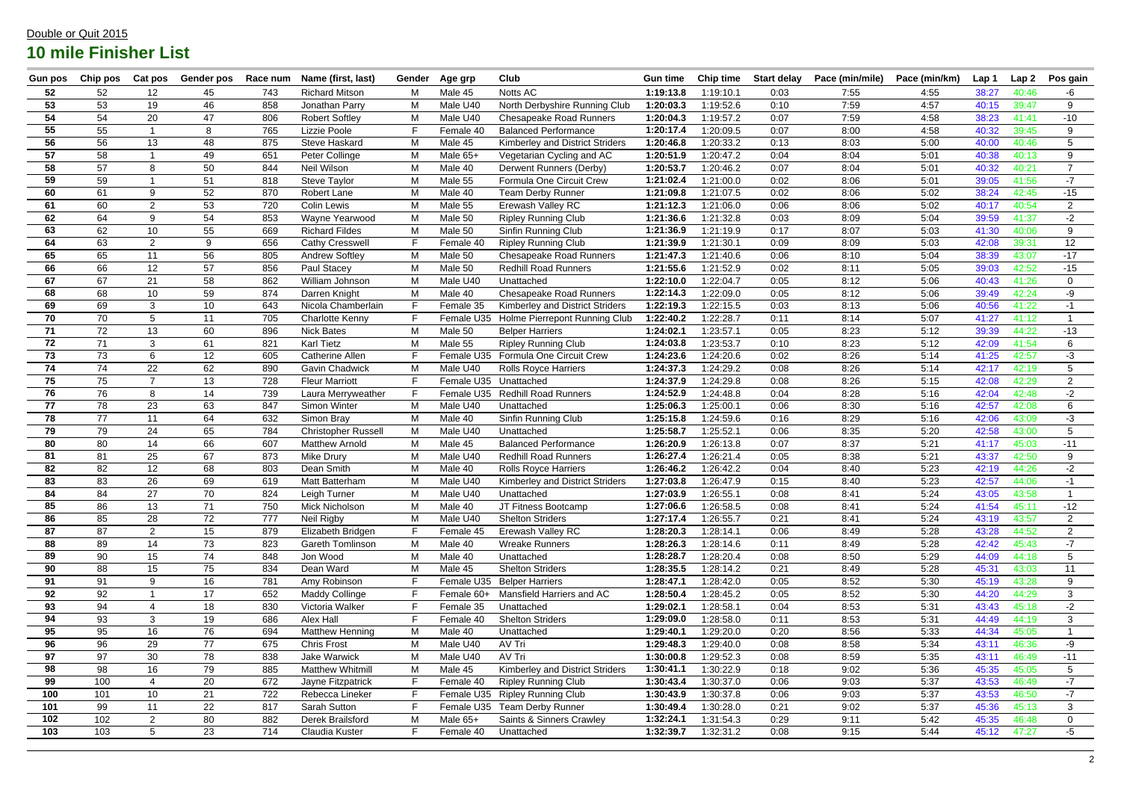| <b>Gun pos</b> | Chip pos | Cat pos           | Gender pos      | Race num | Name (first, last)         | Gender | Age grp    | <b>Club</b>                     | <b>Gun time</b> | <b>Chip time</b> | <b>Start delay</b> | Pace (min/mile) | Pace (min/km) | Lap 1 | Lap <sub>2</sub> | Pos gain        |
|----------------|----------|-------------------|-----------------|----------|----------------------------|--------|------------|---------------------------------|-----------------|------------------|--------------------|-----------------|---------------|-------|------------------|-----------------|
| 52             | 52       | 12                | 45              | 743      | <b>Richard Mitson</b>      | М      | Male 45    | Notts AC                        | 1:19:13.8       | 1:19:10.1        | 0:03               | 7:55            | 4:55          | 38:27 | 40:46            | -6              |
| 53             | 53       | 19                | 46              | 858      | Jonathan Parry             | M      | Male U40   | North Derbyshire Running Club   | 1:20:03.3       | 1:19:52.6        | 0:10               | 7:59            | 4:57          | 40:15 | 39:47            | 9               |
| 54             | 54       | 20                | 47              | 806      | <b>Robert Softley</b>      | M      | Male U40   | <b>Chesapeake Road Runners</b>  | 1:20:04.3       | 1:19:57.2        | 0:07               | 7:59            | 4:58          | 38:23 | 41:41            | $-10$           |
| 55             | 55       |                   | 8               | 765      | Lizzie Poole               | F.     | Female 40  | <b>Balanced Performance</b>     | 1:20:17.4       | 1:20:09.5        | 0:07               | 8:00            | 4:58          | 40:32 | 39:45            | 9               |
| 56             | 56       | 13                | 48              | 875      | <b>Steve Haskard</b>       | M      | Male 45    | Kimberley and District Striders | 1:20:46.8       | 1:20:33.2        | 0:13               | 8:03            | 5:00          | 40:00 | 40:46            | 5               |
| 57             | 58       |                   | 49              | 651      | Peter Collinge             | M      | Male 65+   | Vegetarian Cycling and AC       | 1:20:51.9       | 1:20:47.2        | 0:04               | 8:04            | 5:01          | 40:38 | 40:13            | 9               |
| 58             | 57       | 8                 | 50              | 844      | Neil Wilson                | M      | Male 40    | Derwent Runners (Derby)         | 1:20:53.7       | 1:20:46.2        | 0:07               | 8:04            | 5:01          | 40:32 | 40:21            | $\overline{7}$  |
| 59             | 59       |                   | 51              | 818      | <b>Steve Taylor</b>        | M      | Male 55    | Formula One Circuit Crew        | 1:21:02.4       | 1:21:00.0        | 0:02               | 8:06            | 5:01          | 39:05 | 41:56            | $-7$            |
| 60             | 61       | 9                 | 52              | 870      | Robert Lane                | M      | Male 40    | <b>Team Derby Runner</b>        | 1:21:09.8       | 1:21:07.5        | 0:02               | 8:06            | 5:02          | 38:24 | 42:45            | $-15$           |
| 61             | 60       | 2                 | 53              | 720      | <b>Colin Lewis</b>         | M      | Male 55    | Erewash Valley RC               | 1:21:12.3       | 1:21:06.0        | 0:06               | 8:06            | 5:02          | 40:17 | 40:54            | $\overline{2}$  |
| 62             | 64       | 9                 | 54              | 853      | Wayne Yearwood             | M      | Male 50    | <b>Ripley Running Club</b>      | 1:21:36.6       | 1:21:32.8        | 0:03               | 8:09            | 5:04          | 39:59 | 41:37            | $-2$            |
| 63             | 62       | 10                | 55              | 669      | <b>Richard Fildes</b>      | M      | Male 50    | Sinfin Running Club             | 1:21:36.9       | 1:21:19.9        | 0:17               | 8:07            | 5:03          | 41:30 | 40:06            | 9               |
| 64             | 63       | 2                 | 9               | 656      | <b>Cathy Cresswell</b>     | F.     | Female 40  | <b>Ripley Running Club</b>      | 1:21:39.9       | 1:21:30.1        | 0:09               | 8:09            | 5:03          | 42:08 | 39:31            | 12 <sup>2</sup> |
| 65             | 65       | 11                | 56              | 805      | <b>Andrew Softley</b>      | M      | Male 50    | <b>Chesapeake Road Runners</b>  | 1:21:47.3       | 1:21:40.6        | 0:06               | 8:10            | 5:04          | 38:39 | 43:07            | $-17$           |
| 66             | 66       | 12 <sup>2</sup>   | 57              | 856      | Paul Stacey                | М      | Male 50    | <b>Redhill Road Runners</b>     | 1:21:55.6       | 1:21:52.9        | 0:02               | 8:11            | 5:05          | 39:03 | 42:52            | $-15$           |
| 67             | 67       | 21                | 58              | 862      | William Johnson            | M      | Male U40   | Unattached                      | 1:22:10.0       | 1:22:04.7        | 0:05               | 8:12            | 5:06          | 40:43 | 41:26            | $\Omega$        |
| 68             | 68       | 10                | 59              | 874      | Darren Knight              | M      | Male 40    | <b>Chesapeake Road Runners</b>  | 1:22:14.3       | 1:22:09.0        | 0:05               | 8:12            | 5:06          | 39:49 | 42:24            | -9              |
| 69             | 69       | 3                 | 10 <sup>°</sup> | 643      | Nicola Chamberlain         |        | Female 35  | Kimberley and District Striders | 1:22:19.3       | 1:22:15.5        | 0:03               | 8:13            | 5:06          | 40:56 | 41:22            | $-1$            |
| 70             | 70       | 5                 | 11              | 705      | <b>Charlotte Kenny</b>     |        | Female U35 | Holme Pierrepont Running Club   | 1:22:40.2       | 1:22:28.7        | 0:11               | 8:14            | 5:07          | 41:27 | 41:12            |                 |
| 71             | 72       | 13                | 60              | 896      | <b>Nick Bates</b>          | M      | Male 50    | <b>Belper Harriers</b>          | 1:24:02.1       | 1:23:57.1        | 0:05               | 8:23            | 5:12          | 39:39 | 44:22            | $-13$           |
| 72             | 71       | 3                 | 61              | 821      | <b>Karl Tietz</b>          | M      | Male 55    | <b>Ripley Running Club</b>      | 1:24:03.8       | 1:23:53.7        | 0:10               | 8:23            | 5:12          | 42:09 | 41:54            | 6               |
| 73             | 73       | 6                 | 12              | 605      | Catherine Allen            | F.     | Female U35 | Formula One Circuit Crew        | 1:24:23.6       | 1:24:20.6        | 0:02               | 8:26            | 5:14          | 41:25 | 42:57            | -3              |
| 74             | 74       | 22                | 62              | 890      | <b>Gavin Chadwick</b>      | М      | Male U40   | Rolls Royce Harriers            | 1:24:37.3       | 1:24:29.2        | 0:08               | 8:26            | 5:14          | 42:17 | 42:19            | 5               |
| 75             | 75       | $\overline{7}$    | 13              | 728      | <b>Fleur Marriott</b>      |        |            | Female U35 Unattached           | 1:24:37.9       | 1:24:29.8        | 0:08               | 8:26            | 5:15          | 42:08 | 42:29            | $\overline{2}$  |
| 76             | 76       | 8                 | 14              | 739      | Laura Merryweather         |        | Female U35 | <b>Redhill Road Runners</b>     | 1:24:52.9       | 1:24:48.8        | 0:04               | 8:28            | 5:16          | 42:04 | 42:48            | $-2$            |
| 77             | 78       | 23                | 63              | 847      | Simon Winter               | M      | Male U40   | Unattached                      | 1:25:06.3       | 1:25:00.1        | 0:06               | 8:30            | 5:16          | 42:57 | 42:08            | 6               |
| 78             | 77       | 11                | 64              | 632      | Simon Bray                 | M      | Male 40    | Sinfin Running Club             | 1:25:15.8       | 1:24:59.6        | 0:16               | 8:29            | 5:16          | 42:06 | 43:09            | $-3$            |
| 79             | 79       | 24                | 65              | 784      | <b>Christopher Russell</b> | M      | Male U40   | Unattached                      | 1:25:58.7       | 1:25:52.1        | 0:06               | 8:35            | 5:20          | 42:58 | 43:00            | 5               |
| 80             | 80       | 14                | 66              | 607      | <b>Matthew Arnold</b>      | M      | Male 45    | <b>Balanced Performance</b>     | 1:26:20.9       | 1:26:13.8        | 0:07               | 8:37            | 5:21          | 41:17 | 45:03            | $-11$           |
| 81             | 81       | 25                | 67              | 873      | Mike Drury                 | M      | Male U40   | <b>Redhill Road Runners</b>     | 1:26:27.4       | 1:26:21.4        | 0:05               | 8:38            | 5:21          | 43:37 | 42:50            | 9               |
| 82             | 82       | $12 \overline{ }$ | 68              | 803      | Dean Smith                 | M      | Male 40    | <b>Rolls Royce Harriers</b>     | 1:26:46.2       | 1:26:42.2        | 0:04               | 8:40            | 5:23          | 42:19 | 44:26            | $-2$            |
| 83             | 83       | 26                | 69              | 619      | Matt Batterham             | M      | Male U40   | Kimberley and District Striders | 1:27:03.8       | 1:26:47.9        | 0:15               | 8:40            | 5:23          | 42:57 | 44:06            | -1              |
| 84             | 84       | 27                | 70              | 824      | Leigh Turner               | M      | Male U40   | Unattached                      | 1:27:03.9       | 1:26:55.1        | 0:08               | 8:41            | 5:24          | 43:05 | 43:58            |                 |
| 85             | 86       | 13                | 71              | 750      | Mick Nicholson             | М      | Male 40    | JT Fitness Bootcamp             | 1:27:06.6       | 1:26:58.5        | 0:08               | 8:41            | 5:24          | 41:54 | 45:11            | $-12$           |
| 86             | 85       | 28                | 72              | 777      | Neil Rigby                 | M      | Male U40   | <b>Shelton Striders</b>         | 1:27:17.4       | 1:26:55.7        | 0:21               | 8:41            | 5:24          | 43:19 | 43:57            | $\overline{2}$  |
| 87             | 87       | $\overline{2}$    | 15              | 879      | Elizabeth Bridgen          |        | Female 45  | Erewash Valley RC               | 1:28:20.3       | 1:28:14.1        | 0:06               | 8:49            | 5:28          | 43:28 | 44:52            | $\overline{2}$  |
| 88             | 89       | 14                | 73              | 823      | Gareth Tomlinson           | M      | Male 40    | <b>Wreake Runners</b>           | 1:28:26.3       | 1:28:14.6        | 0:11               | 8:49            | 5:28          | 42:42 | 45:43            | $-7$            |
| 89             | 90       | 15                | 74              | 848      | Jon Wood                   | М      | Male 40    | Unattached                      | 1:28:28.7       | 1:28:20.4        | 0:08               | 8:50            | 5:29          | 44:09 | 44:18            | $5\overline{)}$ |
| 90             | 88       | 15                | 75              | 834      | Dean Ward                  | М      | Male 45    | <b>Shelton Striders</b>         | 1:28:35.5       | 1:28:14.2        | 0:21               | 8:49            | 5:28          | 45:31 | 43:03            | 11              |
| 91             | 91       | 9                 | 16              | 781      | Amy Robinson               |        |            | Female U35 Belper Harriers      | 1:28:47.1       | 1:28:42.0        | 0:05               | 8:52            | 5:30          | 45:19 | 43:28            | 9               |
| 92             | 92       |                   | 17              | 652      | Maddy Collinge             |        | Female 60+ | Mansfield Harriers and AC       | 1:28:50.4       | 1:28:45.2        | 0:05               | 8:52            | 5:30          | 44:20 | 44:29            | 3               |
| 93             | 94       |                   | 18              | 830      | Victoria Walker            | F      | Female 35  | Unattached                      | 1:29:02.1       | 1:28:58.1        | 0:04               | 8:53            | 5:31          | 43:43 | 45:18            | $-2$            |
| 94             | 93       | 3                 | 19              | 686      | Alex Hall                  | F.     | Female 40  | <b>Shelton Striders</b>         | 1:29:09.0       | 1:28:58.0        | 0:11               | 8:53            | 5:31          | 44:49 | 44:19            | $\mathbf{3}$    |
| 95             | 95       | 16                | 76              | 694      | <b>Matthew Henning</b>     | M      | Male 40    | Unattached                      | 1:29:40.1       | 1:29:20.0        | 0:20               | 8:56            | 5:33          | 44:34 | 45:05            |                 |
| 96             | 96       | 29                | 77              | 675      | <b>Chris Frost</b>         | M      | Male U40   | AV Tri                          | 1:29:48.3       | 1:29:40.0        | 0:08               | 8:58            | 5:34          | 43:11 | 46:36            | -9              |
| 97             | 97       | 30                | 78              | 838      | Jake Warwick               | М      | Male U40   | AV Tri                          | 1:30:00.8       | 1:29:52.3        | 0:08               | 8:59            | 5:35          | 43:11 | 46:49            | $-11$           |
| 98             | 98       | 16                | 79              | 885      | Matthew Whitmill           | М      | Male 45    | Kimberley and District Striders | 1:30:41.1       | 1:30:22.9        | 0:18               | 9:02            | 5:36          | 45:35 | 45:05            | $5\overline{)}$ |
| 99             | 100      | 4                 | 20              | 672      | Jayne Fitzpatrick          | F      | Female 40  | <b>Ripley Running Club</b>      | 1:30:43.4       | 1:30:37.0        | 0:06               | 9:03            | 5:37          | 43:53 | 46:49            | $-7$            |
| 100            | 101      | 10 <sup>°</sup>   | 21              | 722      | Rebecca Lineker            |        |            | Female U35 Ripley Running Club  | 1:30:43.9       | 1:30:37.8        | 0:06               | 9:03            | 5:37          | 43:53 | 46:50            | $-7$            |
| 101            | 99       | 11                | 22              | 817      | Sarah Sutton               |        |            | Female U35 Team Derby Runner    | 1:30:49.4       | 1:30:28.0        | 0:21               | 9:02            | 5:37          | 45:36 | 45:13            | 3               |
| 102            | 102      | $2^{\circ}$       | 80              | 882      | Derek Brailsford           | М      | Male $65+$ | Saints & Sinners Crawley        | 1:32:24.1       | 1:31:54.3        | 0:29               | 9:11            | 5:42          | 45:35 | 46:48            | $\mathbf 0$     |
| 103            | 103      | 5 <sup>5</sup>    | 23              | 714      | Claudia Kuster             | F.     | Female 40  | Unattached                      | 1:32:39.7       | 1:32:31.2        | 0:08               | 9:15            | 5:44          | 45:12 | 47:27            | $-5$            |
|                |          |                   |                 |          |                            |        |            |                                 |                 |                  |                    |                 |               |       |                  |                 |

## Double or Quit 2015 **10 mile Finisher List**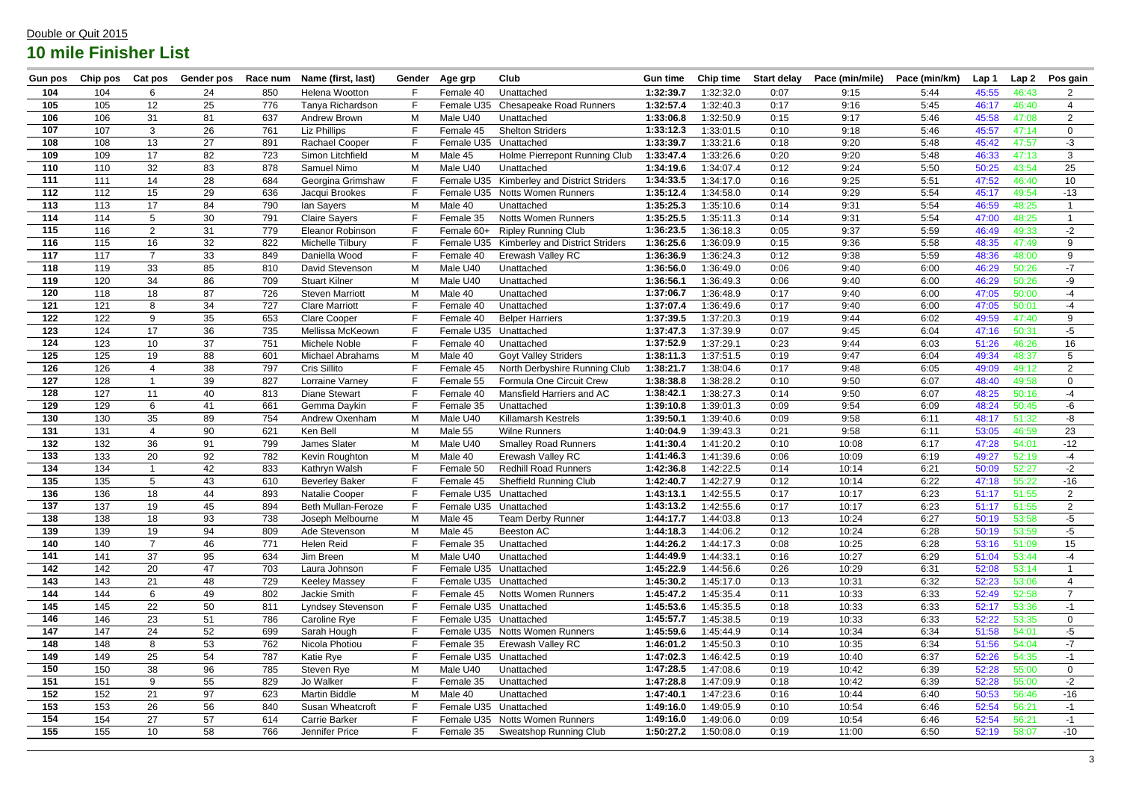| <b>Gun pos</b>   | Chip pos | Cat pos         | Gender pos | Race num | Name (first, last)        | Gender | Age grp    | <b>Club</b>                                | <b>Gun time</b> | <b>Chip time</b> | <b>Start delay</b> | Pace (min/mile) | Pace (min/km) | Lap 1 | Lap <sub>2</sub> | Pos gain       |
|------------------|----------|-----------------|------------|----------|---------------------------|--------|------------|--------------------------------------------|-----------------|------------------|--------------------|-----------------|---------------|-------|------------------|----------------|
| 104              | 104      | 6               | 24         | 850      | Helena Wootton            |        | Female 40  | Unattached                                 | 1:32:39.7       | 1:32:32.0        | 0:07               | 9:15            | 5:44          | 45:55 | 46:43            | 2              |
| 105              | 105      | 12              | 25         | 776      | Tanya Richardson          |        | Female U35 | <b>Chesapeake Road Runners</b>             | 1:32:57.4       | 1:32:40.3        | 0:17               | 9:16            | 5:45          | 46:17 | 46:40            | 4              |
| 106              | 106      | 31              | 81         | 637      | Andrew Brown              | M      | Male U40   | Unattached                                 | 1:33:06.8       | 1:32:50.9        | 0:15               | 9:17            | 5:46          | 45:58 | 47:08            | 2              |
| 107              | 107      | 3               | 26         | 761      | Liz Phillips              |        | Female 45  | <b>Shelton Striders</b>                    | 1:33:12.3       | 1:33:01.5        | 0:10               | 9:18            | 5:46          | 45:57 | 47:14            | $\Omega$       |
| 108              | 108      | 13              | 27         | 891      | <b>Rachael Cooper</b>     |        |            | Female U35 Unattached                      | 1:33:39.7       | 1:33:21.6        | 0:18               | 9:20            | 5:48          | 45:42 | 47:57            | $-3$           |
| 109              | 109      | 17              | 82         | 723      | Simon Litchfield          | M      | Male 45    | Holme Pierrepont Running Club              | 1:33:47.4       | 1:33:26.6        | 0:20               | 9:20            | 5:48          | 46:33 | 47:13            | 3              |
| 110              | 110      | 32              | 83         | 878      | Samuel Nimo               | M      | Male U40   | Unattached                                 | 1:34:19.6       | 1:34:07.4        | 0:12               | 9:24            | 5:50          | 50:25 | 43:54            | 25             |
| 111              | 111      | 14              | 28         | 684      | Georgina Grimshaw         | F      |            | Female U35 Kimberley and District Striders | 1:34:33.5       | 1:34:17.0        | 0:16               | 9:25            | 5:51          | 47:52 | 46:40            | 10             |
| 112              | 112      | 15              | 29         | 636      | Jacqui Brookes            |        |            | Female U35 Notts Women Runners             | 1:35:12.4       | 1:34:58.0        | 0:14               | 9:29            | 5:54          | 45:17 | 49:54            | $-13$          |
| 113              | 113      | 17              | 84         | 790      | lan Sayers                | M      | Male 40    | Unattached                                 | 1:35:25.3       | 1:35:10.6        | 0:14               | 9:31            | 5:54          | 46:59 | 48:25            |                |
| 114              | 114      | 5               | 30         | 791      | <b>Claire Sayers</b>      |        | Female 35  | <b>Notts Women Runners</b>                 | 1:35:25.5       | 1:35:11.3        | 0:14               | 9:31            | 5:54          | 47:00 | 48:25            |                |
| 115              | 116      | $\overline{2}$  | 31         | 779      | Eleanor Robinson          |        | Female 60+ | <b>Ripley Running Club</b>                 | 1:36:23.5       | 1:36:18.3        | 0:05               | 9:37            | 5:59          | 46:49 | 49:33            | $-2$           |
| 116              | 115      | 16              | 32         | 822      | Michelle Tilbury          |        | Female U35 | <b>Kimberley and District Striders</b>     | 1:36:25.6       | 1:36:09.9        | 0:15               | 9:36            | 5:58          | 48:35 | 47:49            | 9              |
| 117              | 117      | $\overline{7}$  | 33         | 849      | Daniella Wood             | F      | Female 40  | Erewash Valley RC                          | 1:36:36.9       | 1:36:24.3        | 0:12               | 9:38            | 5:59          | 48:36 | 48:00            | 9              |
| 118              | 119      | 33              | 85         | 810      | David Stevenson           | M      | Male U40   | Unattached                                 | 1:36:56.0       | 1:36:49.0        | 0:06               | 9:40            | 6:00          | 46:29 | 50:26            | $-7$           |
| 119              | 120      | 34              | 86         | 709      | <b>Stuart Kilner</b>      | M      | Male U40   | Unattached                                 | 1:36:56.1       | 1:36:49.3        | 0:06               | 9:40            | 6:00          | 46:29 | 50:26            | -9             |
| 120              | 118      | 18              | 87         | 726      | <b>Steven Marriott</b>    | M      | Male 40    | Unattached                                 | 1:37:06.7       | 1:36:48.9        | 0:17               | 9:40            | 6:00          | 47:05 | 50:00            | $-4$           |
| 121              | 121      | 8               | 34         | 727      | <b>Clare Marriott</b>     |        | Female 40  | Unattached                                 | 1:37:07.4       | 1:36:49.6        | 0:17               | 9:40            | 6:00          | 47:05 | 50:01            | -4             |
| 122              | 122      | 9               | 35         | 653      | <b>Clare Cooper</b>       |        | Female 40  | <b>Belper Harriers</b>                     | 1:37:39.5       | 1:37:20.3        | 0:19               | 9:44            | 6:02          | 49:59 | 47:40            | 9              |
| 123              | 124      | 17              | 36         | 735      | Mellissa McKeown          |        | Female U35 | Unattached                                 | 1:37:47.3       | 1:37:39.9        | 0:07               | 9:45            | 6:04          | 47:16 | 50:31            | $-5$           |
| 124              | 123      | 10 <sup>°</sup> | 37         | 751      | Michele Noble             |        | Female 40  | Unattached                                 | 1:37:52.9       | 1:37:29.1        | 0:23               | 9:44            | 6:03          | 51:26 | 46:26            | 16             |
| 125              | 125      | 19              | 88         | 601      | Michael Abrahams          | M      | Male 40    | Goyt Valley Striders                       | 1:38:11.3       | 1:37:51.5        | 0:19               | 9:47            | 6:04          | 49:34 | 48:37            | 5              |
| 126              | 126      |                 | 38         | 797      | Cris Sillito              |        | Female 45  | North Derbyshire Running Club              | 1:38:21.7       | 1:38:04.6        | 0:17               | 9:48            | 6:05          | 49:09 | 49:12            | $\overline{2}$ |
| 127              | 128      |                 | 39         | 827      | Lorraine Varney           | F      | Female 55  | Formula One Circuit Crew                   | 1:38:38.8       | 1:38:28.2        | 0:10               | 9:50            | 6:07          | 48:40 | 49:58            | $\mathbf 0$    |
| 128              | 127      | 11              | 40         | 813      | <b>Diane Stewart</b>      |        | Female 40  | Mansfield Harriers and AC                  | 1:38:42.1       | 1:38:27.3        | 0:14               | 9:50            | 6:07          | 48:25 | 50:16            | $-4$           |
| 129              | 129      | 6               | 41         | 661      | Gemma Daykin              | F      | Female 35  | Unattached                                 | 1:39:10.8       | 1:39:01.3        | 0:09               | 9:54            | 6:09          | 48:24 | 50:45            | -6             |
| 130              | 130      | 35              | 89         | 754      | Andrew Oxenham            | M      | Male U40   | <b>Killamarsh Kestrels</b>                 | 1:39:50.1       | 1:39:40.6        | 0:09               | 9:58            | 6:11          | 48:17 | 51:32            | -8             |
| 131              | 131      | 4               | 90         | 621      | Ken Bell                  | M      | Male 55    | <b>Wilne Runners</b>                       | 1:40:04.9       | 1:39:43.3        | 0:21               | 9:58            | 6:11          | 53:05 | 46:59            | 23             |
| 132              | 132      | 36              | 91         | 799      | James Slater              | M      | Male U40   | <b>Smalley Road Runners</b>                | 1:41:30.4       | 1:41:20.2        | 0:10               | 10:08           | 6:17          | 47:28 | 54:01            | $-12$          |
| 133              | 133      | 20              | 92         | 782      | Kevin Roughton            | М      | Male 40    | Erewash Valley RC                          | 1:41:46.3       | 1:41:39.6        | 0:06               | 10:09           | 6:19          | 49:27 | 52:19            | -4             |
| 134              | 134      |                 | 42         | 833      | Kathryn Walsh             | F      | Female 50  | <b>Redhill Road Runners</b>                | 1:42:36.8       | 1:42:22.5        | 0:14               | 10:14           | 6:21          | 50:09 | 52:27            | $-2$           |
| 135              | 135      | 5               | 43         | 610      | <b>Beverley Baker</b>     | F      | Female 45  | <b>Sheffield Running Club</b>              | 1:42:40.7       | 1:42:27.9        | 0:12               | 10:14           | 6:22          | 47:18 | 55:22            | $-16$          |
| 136              | 136      | 18              | 44         | 893      | <b>Natalie Cooper</b>     | F.     |            | Female U35 Unattached                      | 1:43:13.1       | 1:42:55.5        | 0:17               | 10:17           | 6:23          | 51:17 | 51:55            | $\overline{2}$ |
| 137              | 137      | 19              | 45         | 894      | <b>Beth Mullan-Feroze</b> |        |            | Female U35 Unattached                      | 1:43:13.2       | 1:42:55.6        | 0:17               | 10:17           | 6:23          | 51:17 | 51:55            | $\overline{2}$ |
| 138              | 138      | 18              | 93         | 738      | Joseph Melbourne          | M      | Male 45    | <b>Team Derby Runner</b>                   | 1:44:17.7       | 1:44:03.8        | 0:13               | 10:24           | 6:27          | 50:19 | 53:58            | $-5$           |
| 139              | 139      | 19              | 94         | 809      | Ade Stevenson             | M      | Male 45    | Beeston AC                                 | 1:44:18.3       | 1:44:06.2        | 0:12               | 10:24           | 6:28          | 50:19 | 53:59            | -5             |
| 140              | 140      | $\overline{7}$  | 46         | 771      | Helen Reid                |        | Female 35  | Unattached                                 | 1:44:26.2       | 1:44:17.3        | 0:08               | 10:25           | 6:28          | 53:16 | 51:09            | 15             |
| 141              | 141      | 37              | 95         | 634      | Jim Breen                 | M      | Male U40   | Unattached                                 | 1:44:49.9       | 1:44:33.1        | 0:16               | 10:27           | 6:29          | 51:04 | 53:44            | $-4$           |
| 142              | 142      | 20              | 47         | 703      | Laura Johnson             |        |            | Female U35 Unattached                      | 1:45:22.9       | 1:44:56.6        | 0:26               | 10:29           | 6:31          | 52:08 | 53:14            |                |
| 143              | 143      | 21              | 48         | 729      | <b>Keeley Massey</b>      |        |            | Female U35 Unattached                      | 1:45:30.2       | 1:45:17.0        | 0:13               | 10:31           | 6:32          | 52:23 | 53:06            | $\overline{4}$ |
| 144              | 144      | 6               | 49         | 802      | Jackie Smith              | F      | Female 45  | <b>Notts Women Runners</b>                 | 1:45:47.2       | 1:45:35.4        | 0:11               | 10:33           | 6:33          | 52:49 | 52:58            | $\overline{7}$ |
| 145              | 145      | 22              | 50         | 811      | Lyndsey Stevenson         | F      |            | Female U35 Unattached                      | 1:45:53.6       | 1:45:35.5        | 0:18               | 10:33           | 6:33          | 52:17 | 53:36            | -1             |
| 146              | 146      | 23              | 51         | 786      | Caroline Rye              |        |            | Female U35 Unattached                      | 1:45:57.7       | 1:45:38.5        | 0:19               | 10:33           | 6:33          | 52:22 | 53:35            | $\overline{0}$ |
| 147              | 147      | 24              | 52         | 699      | Sarah Hough               |        |            | Female U35 Notts Women Runners             | 1:45:59.6       | 1:45:44.9        | 0:14               | 10:34           | 6:34          | 51:58 | 54:01            | $-5$           |
| 148              | 148      | 8               | 53         | 762      | Nicola Photiou            | F      | Female 35  | <b>Erewash Valley RC</b>                   | 1:46:01.2       | 1:45:50.3        | 0:10               | 10:35           | 6:34          | 51:56 | 54:04            | $-7$           |
| 149              | 149      | 25              | 54         | 787      | Katie Rye                 |        |            | Female U35 Unattached                      | 1:47:02.3       | 1:46:42.5        | 0:19               | 10:40           | 6:37          | 52:26 | 54:35            | $-1$           |
| 150              | 150      | 38              | 96         | 785      | Steven Rye                | M      | Male U40   | Unattached                                 | 1:47:28.5       | 1:47:08.6        | 0:19               | 10:42           | 6:39          | 52:28 | 55:00            | $\mathbf 0$    |
| 151              | 151      | 9               | 55         | 829      | Jo Walker                 |        | Female 35  | Unattached                                 | 1:47:28.8       | 1:47:09.9        | 0:18               | 10:42           | 6:39          | 52:28 | 55:00            | $-2$           |
| $\overline{152}$ | 152      | 21              | 97         | 623      | <b>Martin Biddle</b>      | M      | Male 40    | Unattached                                 | 1:47:40.1       | 1:47:23.6        | 0:16               | 10:44           | 6:40          | 50:53 | 56:46            | $-16$          |
| 153              | 153      | 26              | 56         | 840      | Susan Wheatcroft          | F      |            | Female U35 Unattached                      | 1:49:16.0       | 1:49:05.9        | 0:10               | 10:54           | 6:46          | 52:54 | 56:21            | -1             |
| 154              | 154      | 27              | 57         | 614      | <b>Carrie Barker</b>      | F      |            | Female U35 Notts Women Runners             | 1:49:16.0       | 1:49:06.0        | 0:09               | 10:54           | 6:46          | 52:54 | 56:21            | -1             |
| 155              | 155      | 10 <sub>1</sub> | 58         | 766      | Jennifer Price            |        | Female 35  | Sweatshop Running Club                     | 1:50:27.2       | 1:50:08.0        | 0:19               | 11:00           | 6:50          | 52:19 | 58:07            | $-10$          |
|                  |          |                 |            |          |                           |        |            |                                            |                 |                  |                    |                 |               |       |                  |                |

## Double or Quit 2015 **10 mile Finisher List**